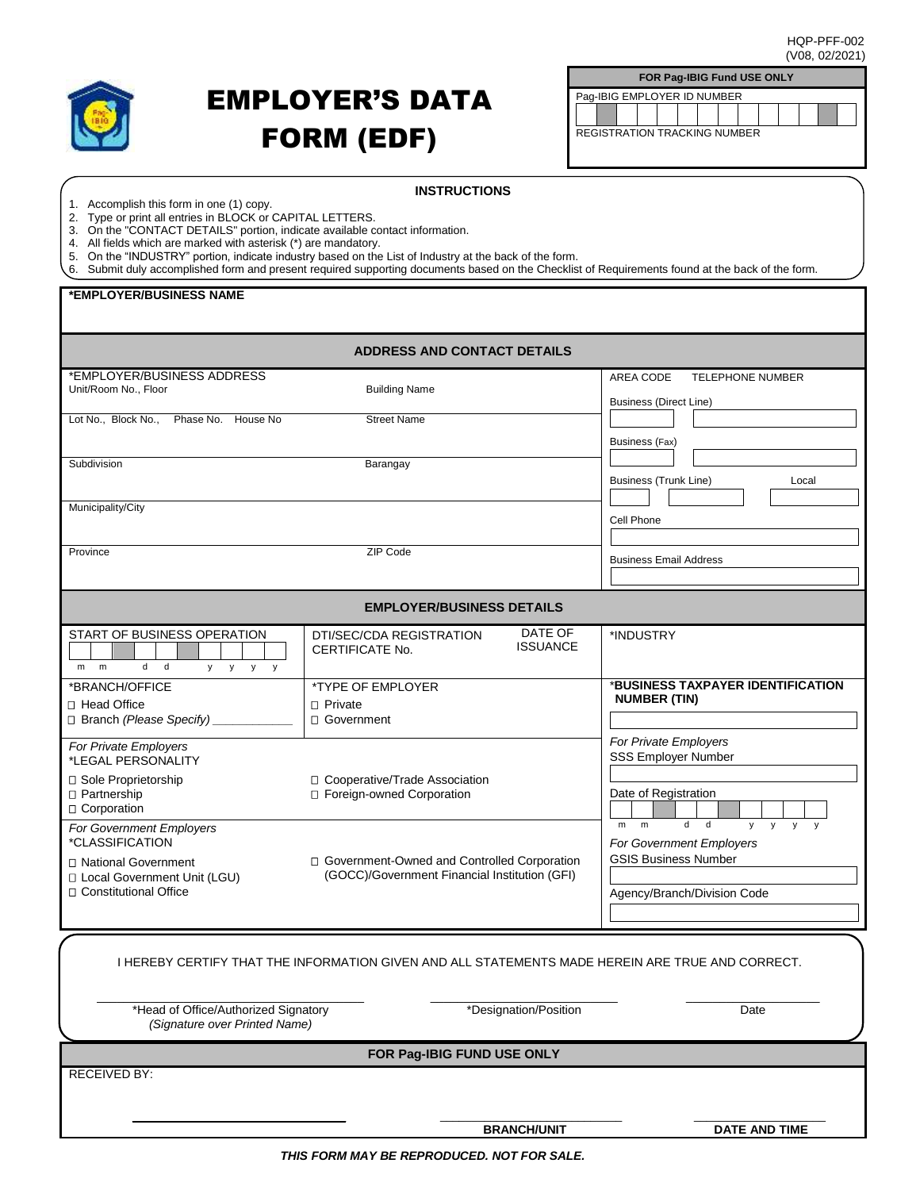

## EMPLOYER'S DATA FORM (EDF)

| <b>FOR Pag-IBIG Fund USE ONLY</b>   |  |  |  |  |  |  |  |  |  |  |
|-------------------------------------|--|--|--|--|--|--|--|--|--|--|
| Pag-IBIG EMPLOYER ID NUMBER         |  |  |  |  |  |  |  |  |  |  |
|                                     |  |  |  |  |  |  |  |  |  |  |
|                                     |  |  |  |  |  |  |  |  |  |  |
| <b>REGISTRATION TRACKING NUMBER</b> |  |  |  |  |  |  |  |  |  |  |
|                                     |  |  |  |  |  |  |  |  |  |  |

- 1. Accomplish this form in one (1) copy.
- 2. Type or print all entries in BLOCK or CAPITAL LETTERS.
- 3. On the "CONTACT DETAILS" portion, indicate available contact information.

4. All fields which are marked with asterisk (\*) are mandatory.

5. On the "INDUSTRY" portion, indicate industry based on the List of Industry at the back of the form.

|  |  | 6. Submit duly accomplished form and present required supporting documents based on the Checklist of Requirements found at the back of the form. |
|--|--|--------------------------------------------------------------------------------------------------------------------------------------------------|
|  |  |                                                                                                                                                  |

## **\*EMPLOYER/BUSINESS NAME**

| <b>ADDRESS AND CONTACT DETAILS</b>                                                                                               |                                                                                                |                                                                                                                                                                           |  |  |  |  |
|----------------------------------------------------------------------------------------------------------------------------------|------------------------------------------------------------------------------------------------|---------------------------------------------------------------------------------------------------------------------------------------------------------------------------|--|--|--|--|
| *EMPLOYER/BUSINESS ADDRESS<br>Unit/Room No., Floor                                                                               | <b>Building Name</b>                                                                           | TELEPHONE NUMBER<br>AREA CODE<br><b>Business (Direct Line)</b>                                                                                                            |  |  |  |  |
| Lot No., Block No., Phase No. House No                                                                                           | <b>Street Name</b>                                                                             | Business (Fax)                                                                                                                                                            |  |  |  |  |
| Subdivision                                                                                                                      | Barangay                                                                                       | <b>Business (Trunk Line)</b><br>Local                                                                                                                                     |  |  |  |  |
| Municipality/City                                                                                                                |                                                                                                | Cell Phone                                                                                                                                                                |  |  |  |  |
| Province                                                                                                                         | <b>ZIP Code</b>                                                                                | <b>Business Email Address</b>                                                                                                                                             |  |  |  |  |
| <b>EMPLOYER/BUSINESS DETAILS</b>                                                                                                 |                                                                                                |                                                                                                                                                                           |  |  |  |  |
| START OF BUSINESS OPERATION<br>d<br>$\mathsf{d}$<br>m<br>m<br>y.<br>y<br>y<br>y                                                  | DATE OF<br>DTI/SEC/CDA REGISTRATION<br><b>ISSUANCE</b><br>CERTIFICATE No.                      | *INDUSTRY                                                                                                                                                                 |  |  |  |  |
| *BRANCH/OFFICE<br>□ Head Office<br>$\Box$ Branch (Please Specify)                                                                | *TYPE OF EMPLOYER<br>□ Private<br>□ Government                                                 | *BUSINESS TAXPAYER IDENTIFICATION<br><b>NUMBER (TIN)</b>                                                                                                                  |  |  |  |  |
| For Private Employers<br>*LEGAL PERSONALITY<br>□ Sole Proprietorship<br>□ Partnership<br>□ Corporation                           | □ Cooperative/Trade Association<br>□ Foreign-owned Corporation                                 | For Private Employers<br><b>SSS Employer Number</b><br>Date of Registration                                                                                               |  |  |  |  |
| For Government Employers<br>*CLASSIFICATION<br>□ National Government<br>□ Local Government Unit (LGU)<br>□ Constitutional Office | □ Government-Owned and Controlled Corporation<br>(GOCC)/Government Financial Institution (GFI) | $\mathbf d$<br>$\mathsf{d}$<br>m<br>m<br>V<br>$\mathsf{y}$<br>$\mathbf{v}$<br>y<br>For Government Employers<br><b>GSIS Business Number</b><br>Agency/Branch/Division Code |  |  |  |  |
| I HEREBY CERTIFY THAT THE INFORMATION GIVEN AND ALL STATEMENTS MADE HEREIN ARE TRUE AND CORRECT.                                 |                                                                                                |                                                                                                                                                                           |  |  |  |  |
| *Head of Office/Authorized Signatory<br>(Signature over Printed Name)                                                            | *Designation/Position                                                                          | Date                                                                                                                                                                      |  |  |  |  |
| FOR Pag-IBIG FUND USE ONLY                                                                                                       |                                                                                                |                                                                                                                                                                           |  |  |  |  |
| <b>RECEIVED BY:</b>                                                                                                              |                                                                                                |                                                                                                                                                                           |  |  |  |  |

**BRANCH/UNIT DATE AND TIME**

*THIS FORM MAY BE REPRODUCED. NOT FOR SALE.*

\_\_\_\_\_\_\_\_\_\_\_\_\_\_\_\_\_\_\_\_\_\_\_\_\_\_\_\_\_\_\_\_ \_\_\_\_\_\_\_\_\_\_\_\_\_\_\_\_\_\_\_\_\_\_\_\_\_\_\_\_\_ \_\_\_\_\_\_\_\_\_\_\_\_\_\_\_\_\_\_\_\_\_